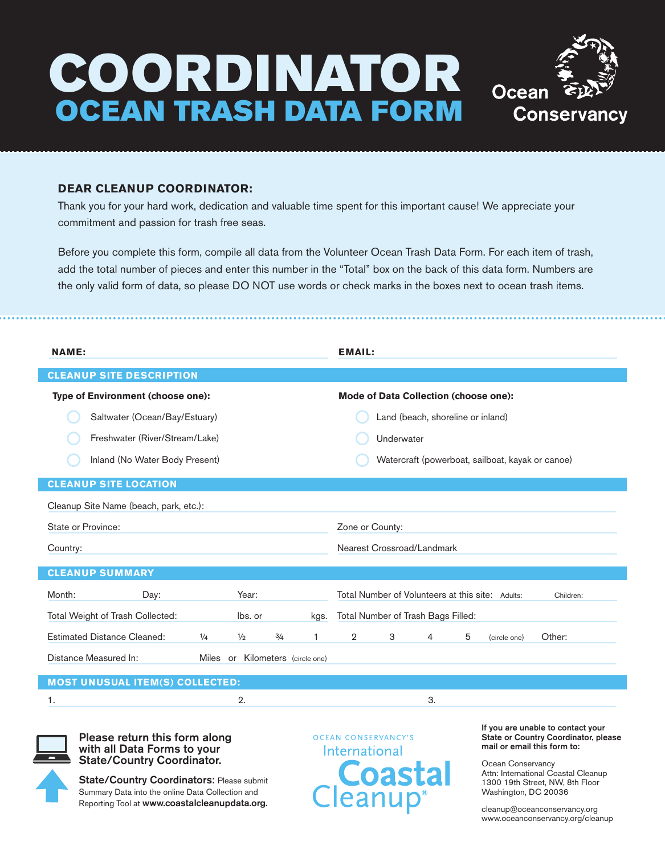## COORDINATOR OCEAN TRASH DATA FORM



## **DEAR CLEANUP COORDINATOR:**

Thank you for your hard work, dedication and valuable time spent for this important cause! We appreciate your commitment and passion for trash free seas.

Before you complete this form, compile all data from the Volunteer Ocean Trash Data Form. For each item of trash, add the total number of pieces and enter this number in the "Total" box on the back of this data form. Numbers are the only valid form of data, so please DO NOT use words or check marks in the boxes next to ocean trash items.

| <b>NAME:</b>                             |          |               |                         |      | <b>EMAIL:</b>                                |                                    |   |   |                                                  |           |  |
|------------------------------------------|----------|---------------|-------------------------|------|----------------------------------------------|------------------------------------|---|---|--------------------------------------------------|-----------|--|
| <b>CLEANUP SITE DESCRIPTION</b>          |          |               |                         |      |                                              |                                    |   |   |                                                  |           |  |
| <b>Type of Environment (choose one):</b> |          |               |                         |      | <b>Mode of Data Collection (choose one):</b> |                                    |   |   |                                                  |           |  |
| Saltwater (Ocean/Bay/Estuary)            |          |               |                         |      |                                              | Land (beach, shoreline or inland)  |   |   |                                                  |           |  |
| Freshwater (River/Stream/Lake)           |          |               |                         |      |                                              | Underwater                         |   |   |                                                  |           |  |
| Inland (No Water Body Present)           |          |               |                         |      |                                              |                                    |   |   | Watercraft (powerboat, sailboat, kayak or canoe) |           |  |
| <b>CLEANUP SITE LOCATION</b>             |          |               |                         |      |                                              |                                    |   |   |                                                  |           |  |
| Cleanup Site Name (beach, park, etc.):   |          |               |                         |      |                                              |                                    |   |   |                                                  |           |  |
| State or Province:                       |          |               |                         |      | Zone or County:                              |                                    |   |   |                                                  |           |  |
| Country:                                 |          |               |                         |      |                                              | Nearest Crossroad/Landmark         |   |   |                                                  |           |  |
| <b>CLEANUP SUMMARY</b>                   |          |               |                         |      |                                              |                                    |   |   |                                                  |           |  |
| Month:<br>Day:                           |          | Year:         |                         |      |                                              |                                    |   |   | Total Number of Volunteers at this site: Adults: | Children: |  |
| Total Weight of Trash Collected:         |          | lbs. or       |                         | kgs. |                                              | Total Number of Trash Bags Filled: |   |   |                                                  |           |  |
| <b>Estimated Distance Cleaned:</b>       | 1/4      | $\frac{1}{2}$ | 3/4                     | 1    | $\overline{2}$                               | 3                                  | 4 | 5 | (circle one)                                     | Other:    |  |
| Distance Measured In:                    | Miles or |               | Kilometers (circle one) |      |                                              |                                    |   |   |                                                  |           |  |
| MACT UNILOUAL ITEM/C\ CALLEGTER.         |          |               |                         |      |                                              |                                    |   |   |                                                  |           |  |

## **MOST UNUSUAL ITEM(S) COLLECTED:**

1.  $2.$  3.



Please return this form along with all Data Forms to your State/Country Coordinator.

State/Country Coordinators: Please submit Summary Data into the online Data Collection and Reporting Tool at www.coastalcleanupdata.org.

OCEAN CONSERVANCY'S International

If you are unable to contact your State or Country Coordinator, please mail or email this form to:

Ocean Conservancy Attn: International Coastal Cleanup 1300 19th Street, NW, 8th Floor Washington, DC 20036

cleanup@oceanconservancy.org www.oceanconservancy.org/cleanup